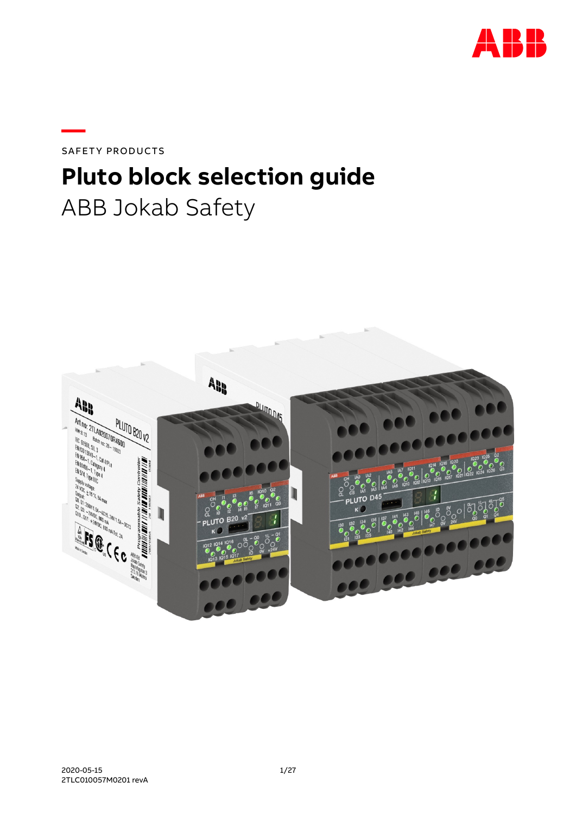

SAFETY PRODUCTS

**—**

# **Pluto block selection guide** ABB Jokab Safety

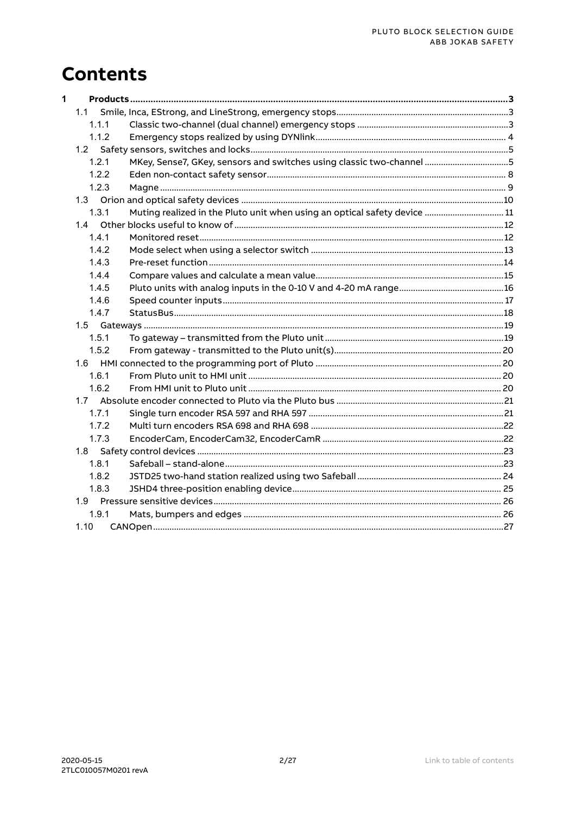## <span id="page-1-0"></span>**Contents**

| $\mathbf{1}$ |       |                                                                           |  |
|--------------|-------|---------------------------------------------------------------------------|--|
|              | 1.1   |                                                                           |  |
|              | 1.1.1 |                                                                           |  |
|              | 1.1.2 |                                                                           |  |
|              |       |                                                                           |  |
|              | 1.2.1 | MKey, Sense7, GKey, sensors and switches using classic two-channel 5      |  |
|              | 1.2.2 |                                                                           |  |
|              | 1.2.3 |                                                                           |  |
|              |       |                                                                           |  |
|              | 1.3.1 | Muting realized in the Pluto unit when using an optical safety device  11 |  |
|              |       |                                                                           |  |
|              | 1.4.1 |                                                                           |  |
|              | 1.4.2 |                                                                           |  |
|              | 1.4.3 |                                                                           |  |
|              | 1.4.4 |                                                                           |  |
|              | 1.4.5 |                                                                           |  |
|              | 1.4.6 |                                                                           |  |
|              | 1.4.7 |                                                                           |  |
|              |       |                                                                           |  |
|              | 1.5.1 |                                                                           |  |
|              | 1.5.2 |                                                                           |  |
|              |       |                                                                           |  |
|              | 1.6.1 |                                                                           |  |
|              | 1.6.2 |                                                                           |  |
|              |       |                                                                           |  |
|              | 1.7.1 |                                                                           |  |
|              | 1.7.2 |                                                                           |  |
|              | 1.7.3 |                                                                           |  |
|              |       |                                                                           |  |
|              | 1.8.1 |                                                                           |  |
|              | 1.8.2 |                                                                           |  |
|              | 1.8.3 |                                                                           |  |
|              |       |                                                                           |  |
|              | 1.9.1 |                                                                           |  |
|              | 1.10  |                                                                           |  |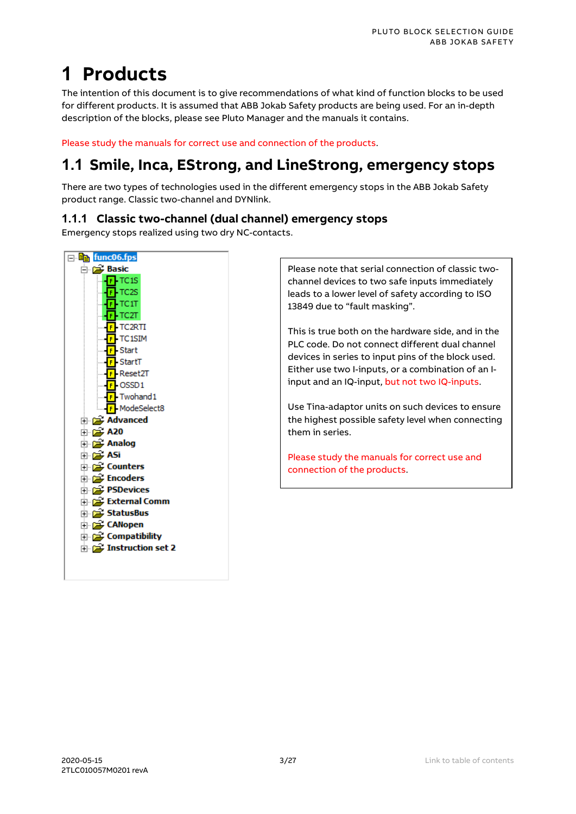# <span id="page-2-0"></span>**1 Products**

The intention of this document is to give recommendations of what kind of function blocks to be used for different products. It is assumed that ABB Jokab Safety products are being used. For an in-depth description of the blocks, please see Pluto Manager and the manuals it contains.

Please study the manuals for correct use and connection of the products.

### <span id="page-2-1"></span>**1.1 Smile, Inca, EStrong, and LineStrong, emergency stops**

There are two types of technologies used in the different emergency stops in the ABB Jokab Safety product range. Classic two-channel and DYNlink.

#### <span id="page-2-2"></span>**1.1.1 Classic two-channel (dual channel) emergency stops**

Emergency stops realized using two dry NC-contacts.



Please note that serial connection of classic twochannel devices to two safe inputs immediately leads to a lower level of safety according to ISO 13849 due to "fault masking".

This is true both on the hardware side, and in the PLC code. Do not connect different dual channel devices in series to input pins of the block used. Either use two I-inputs, or a combination of an Iinput and an IQ-input, but not two IQ-inputs.

Use Tina-adaptor units on such devices to ensure the highest possible safety level when connecting them in series.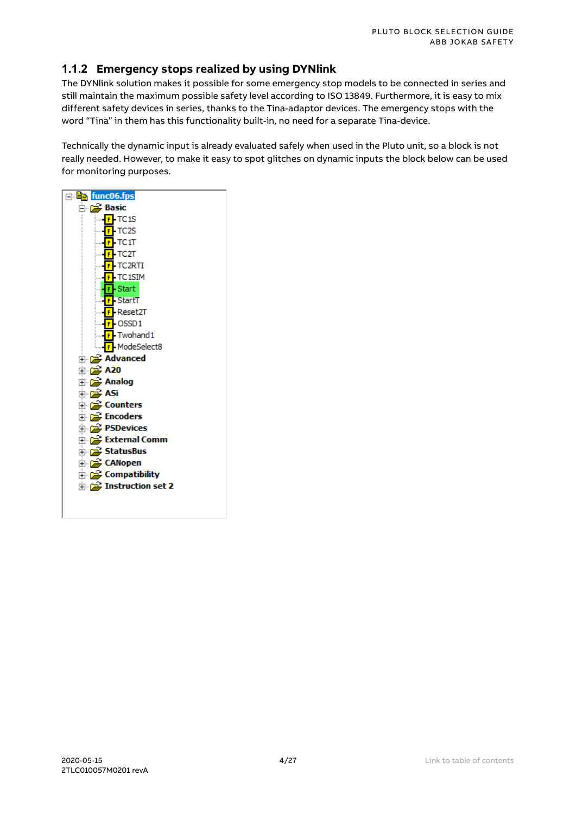#### <span id="page-3-0"></span>**1.1.2 Emergency stops realized by using DYNlink**

The DYNlink solution makes it possible for some emergency stop models to be connected in series and still maintain the maximum possible safety level according to ISO 13849. Furthermore, it is easy to mix different safety devices in series, thanks to the Tina-adaptor devices. The emergency stops with the word "Tina" in them has this functionality built-in, no need for a separate Tina-device.

Technically the dynamic input is already evaluated safely when used in the Pluto unit, so a block is not really needed. However, to make it easy to spot glitches on dynamic inputs the block below can be used for monitoring purposes.

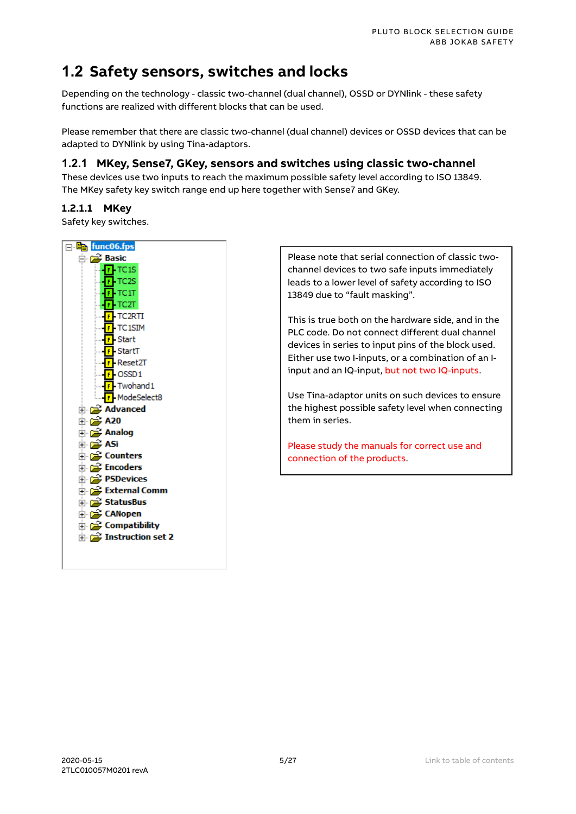### <span id="page-4-0"></span>**1.2 Safety sensors, switches and locks**

Depending on the technology - classic two-channel (dual channel), OSSD or DYNlink - these safety functions are realized with different blocks that can be used.

Please remember that there are classic two-channel (dual channel) devices or OSSD devices that can be adapted to DYNlink by using Tina-adaptors.

#### <span id="page-4-1"></span>**1.2.1 MKey, Sense7, GKey, sensors and switches using classic two-channel**

These devices use two inputs to reach the maximum possible safety level according to ISO 13849. The MKey safety key switch range end up here together with Sense7 and GKey.

#### **1.2.1.1 MKey**

Safety key switches.



Please note that serial connection of classic twochannel devices to two safe inputs immediately leads to a lower level of safety according to ISO 13849 due to "fault masking".

This is true both on the hardware side, and in the PLC code. Do not connect different dual channel devices in series to input pins of the block used. Either use two I-inputs, or a combination of an Iinput and an IQ-input, but not two IQ-inputs.

Use Tina-adaptor units on such devices to ensure the highest possible safety level when connecting them in series.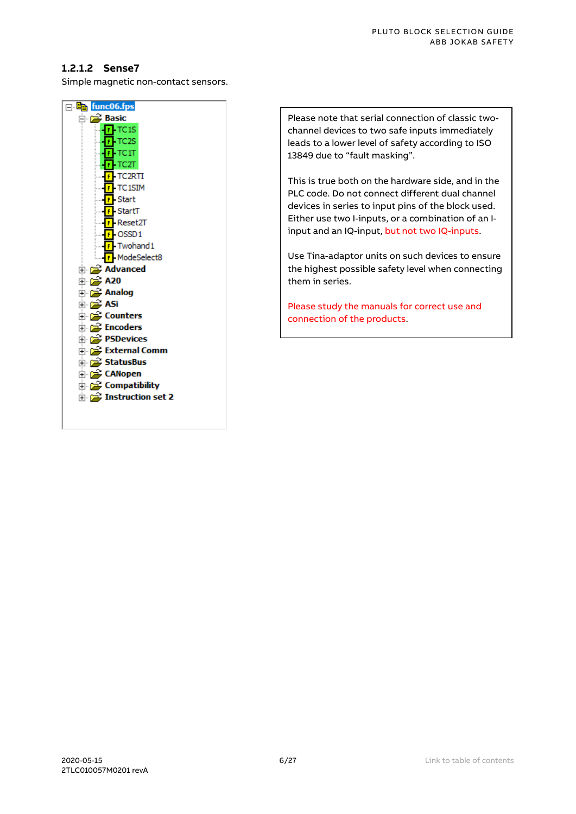#### **1.2.1.2 Sense7**

Simple magnetic non-contact sensors.



Please note that serial connection of classic twochannel devices to two safe inputs immediately leads to a lower level of safety according to ISO 13849 due to "fault masking".

This is true both on the hardware side, and in the PLC code. Do not connect different dual channel devices in series to input pins of the block used. Either use two I-inputs, or a combination of an Iinput and an IQ-input, but not two IQ-inputs.

Use Tina-adaptor units on such devices to ensure the highest possible safety level when connecting them in series.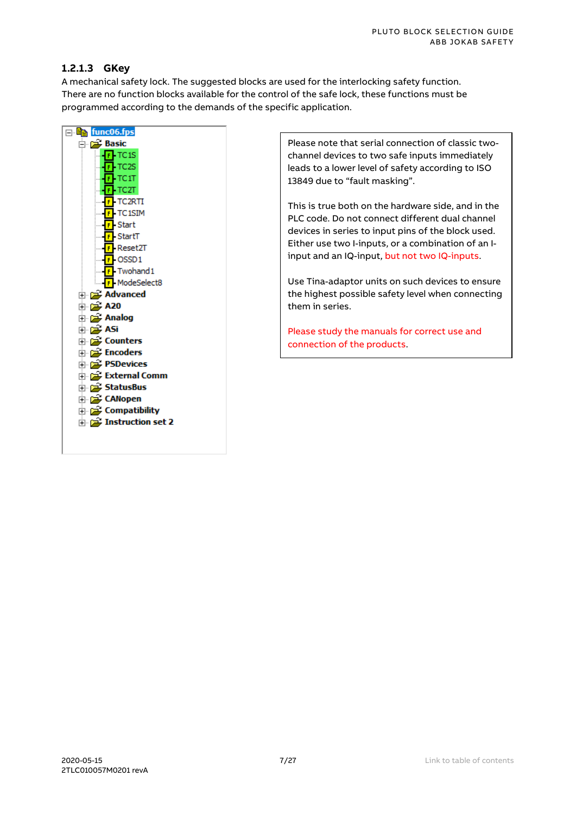#### PLUTO BLOCK SELECTION GUIDE ABB JOKAB SAFETY

#### **1.2.1.3 GKey**

A mechanical safety lock. The suggested blocks are used for the interlocking safety function. There are no function blocks available for the control of the safe lock, these functions must be programmed according to the demands of the specific application.



Please note that serial connection of classic twochannel devices to two safe inputs immediately leads to a lower level of safety according to ISO 13849 due to "fault masking".

This is true both on the hardware side, and in the PLC code. Do not connect different dual channel devices in series to input pins of the block used. Either use two I-inputs, or a combination of an Iinput and an IQ-input, but not two IQ-inputs.

Use Tina-adaptor units on such devices to ensure the highest possible safety level when connecting them in series.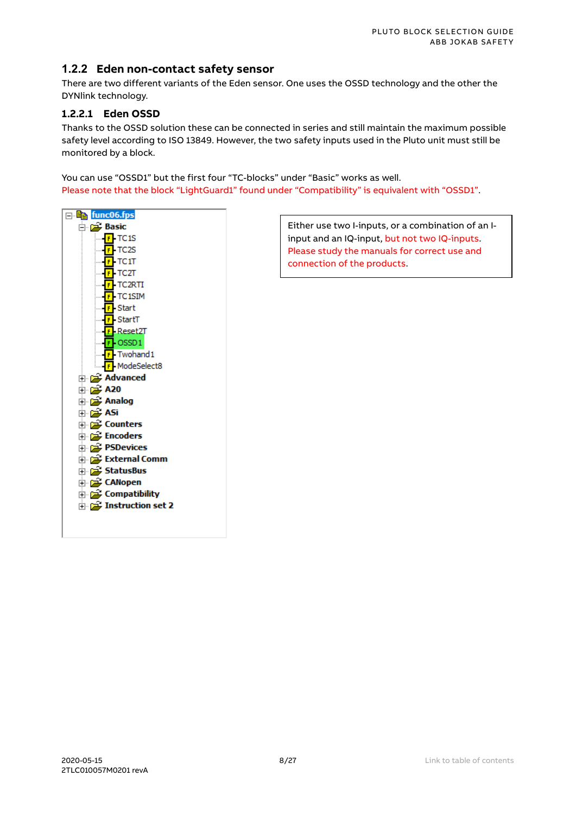#### <span id="page-7-0"></span>**1.2.2 Eden non-contact safety sensor**

There are two different variants of the Eden sensor. One uses the OSSD technology and the other the DYNlink technology.

#### **1.2.2.1 Eden OSSD**

Thanks to the OSSD solution these can be connected in series and still maintain the maximum possible safety level according to ISO 13849. However, the two safety inputs used in the Pluto unit must still be monitored by a block.

You can use "OSSD1" but the first four "TC-blocks" under "Basic" works as well. Please note that the block "LightGuard1" found under "Compatibility" is equivalent with "OSSD1".



Either use two I-inputs, or a combination of an Iinput and an IQ-input, but not two IQ-inputs. Please study the manuals for correct use and connection of the products.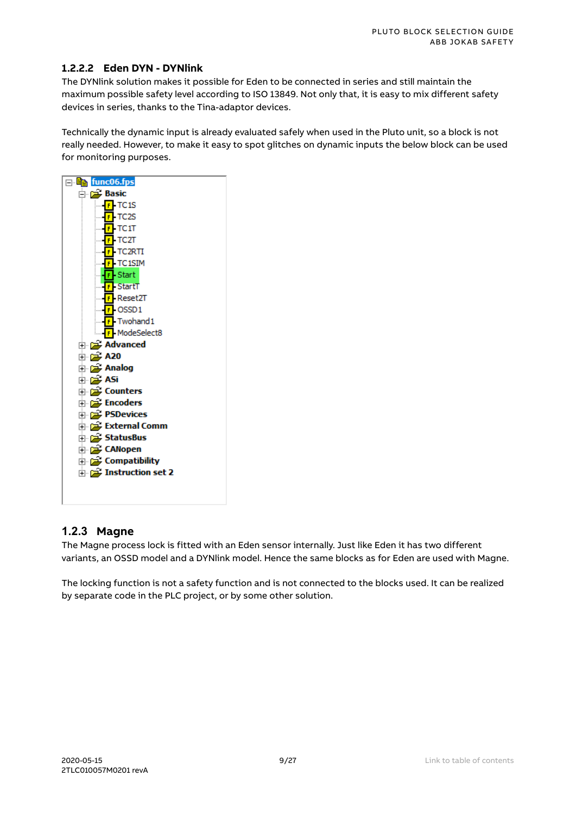#### **1.2.2.2 Eden DYN - DYNlink**

The DYNlink solution makes it possible for Eden to be connected in series and still maintain the maximum possible safety level according to ISO 13849. Not only that, it is easy to mix different safety devices in series, thanks to the Tina-adaptor devices.

Technically the dynamic input is already evaluated safely when used in the Pluto unit, so a block is not really needed. However, to make it easy to spot glitches on dynamic inputs the below block can be used for monitoring purposes.



#### <span id="page-8-0"></span>**1.2.3 Magne**

The Magne process lock is fitted with an Eden sensor internally. Just like Eden it has two different variants, an OSSD model and a DYNlink model. Hence the same blocks as for Eden are used with Magne.

The locking function is not a safety function and is not connected to the blocks used. It can be realized by separate code in the PLC project, or by some other solution.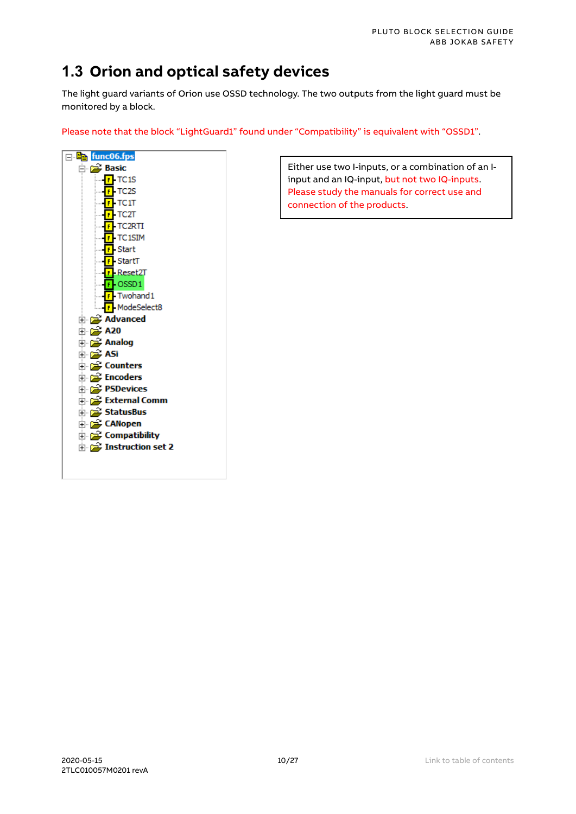### <span id="page-9-0"></span>**1.3 Orion and optical safety devices**

The light guard variants of Orion use OSSD technology. The two outputs from the light guard must be monitored by a block.

Please note that the block "LightGuard1" found under "Compatibility" is equivalent with "OSSD1".



Either use two I-inputs, or a combination of an Iinput and an IQ-input, but not two IQ-inputs. Please study the manuals for correct use and connection of the products.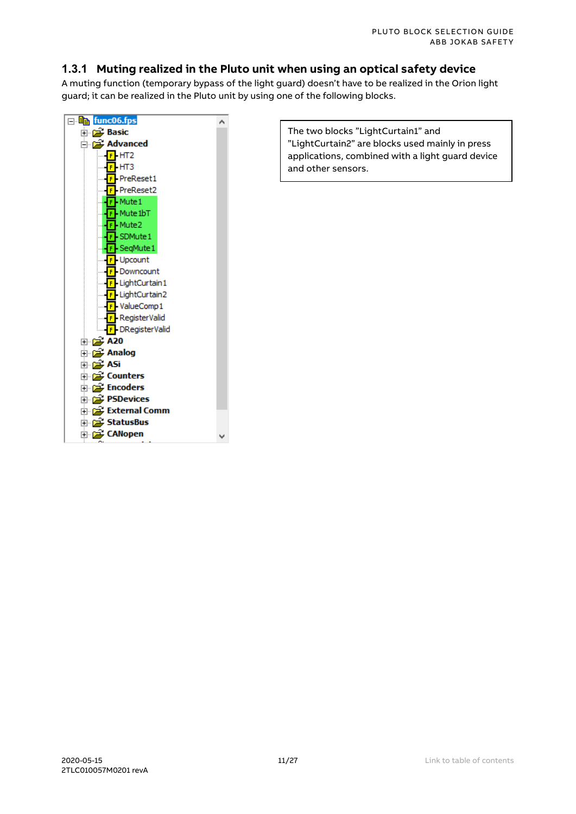#### <span id="page-10-0"></span>**1.3.1 Muting realized in the Pluto unit when using an optical safety device**

A muting function (temporary bypass of the light guard) doesn't have to be realized in the Orion light guard; it can be realized in the Pluto unit by using one of the following blocks.



The two blocks "LightCurtain1" and "LightCurtain2" are blocks used mainly in press applications, combined with a light guard device and other sensors.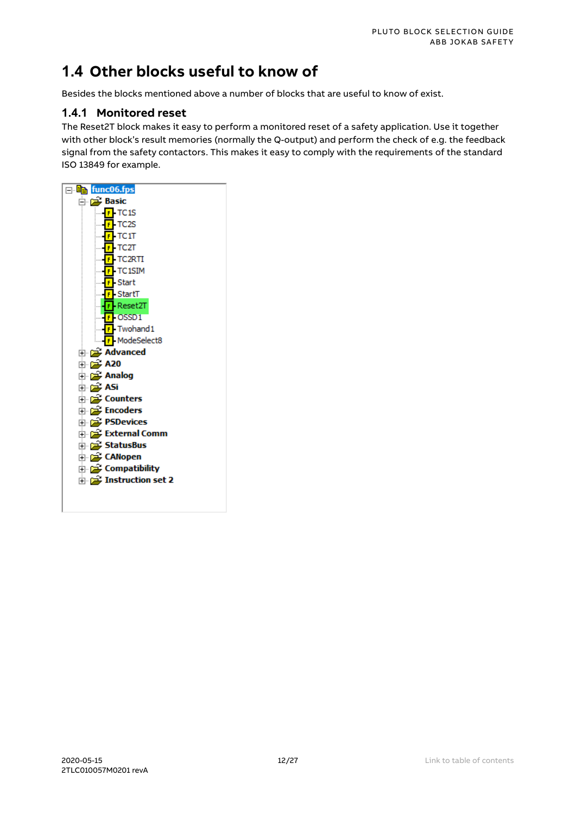### <span id="page-11-0"></span>**1.4 Other blocks useful to know of**

Besides the blocks mentioned above a number of blocks that are useful to know of exist.

#### <span id="page-11-1"></span>**1.4.1 Monitored reset**

The Reset2T block makes it easy to perform a monitored reset of a safety application. Use it together with other block's result memories (normally the Q-output) and perform the check of e.g. the feedback signal from the safety contactors. This makes it easy to comply with the requirements of the standard ISO 13849 for example.

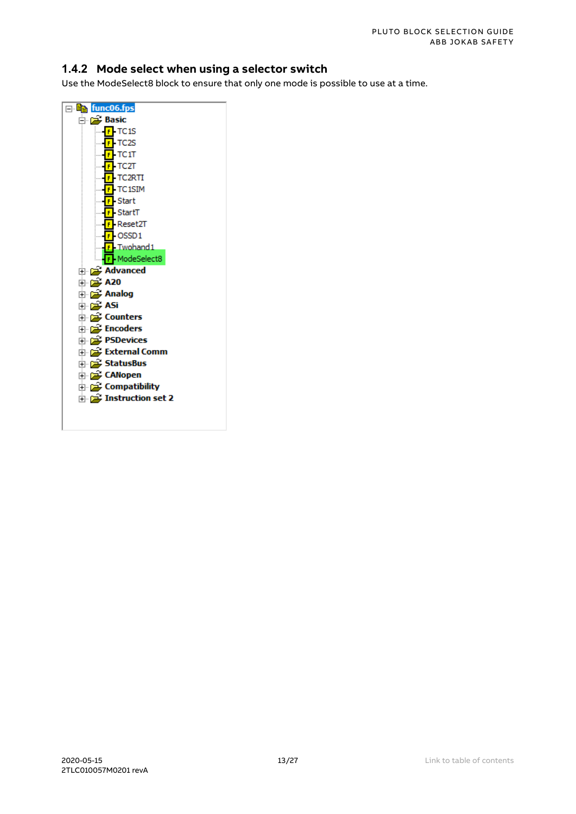#### <span id="page-12-0"></span>**1.4.2 Mode select when using a selector switch**

Use the ModeSelect8 block to ensure that only one mode is possible to use at a time.

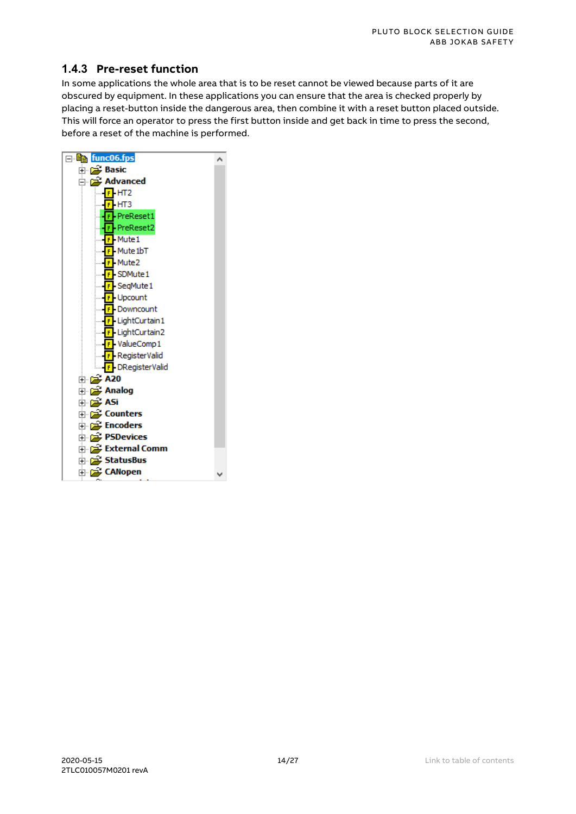#### <span id="page-13-0"></span>**1.4.3 Pre-reset function**

In some applications the whole area that is to be reset cannot be viewed because parts of it are obscured by equipment. In these applications you can ensure that the area is checked properly by placing a reset-button inside the dangerous area, then combine it with a reset button placed outside. This will force an operator to press the first button inside and get back in time to press the second, before a reset of the machine is performed.

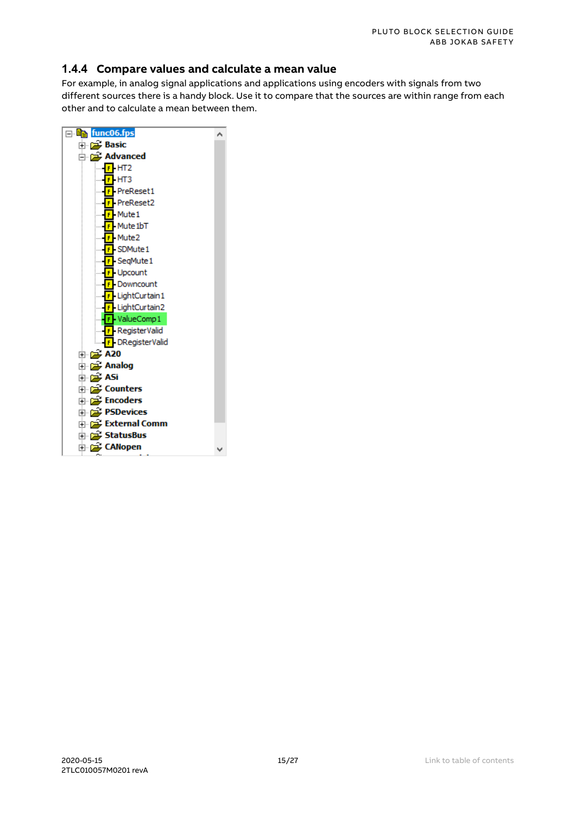#### <span id="page-14-0"></span>**1.4.4 Compare values and calculate a mean value**

For example, in analog signal applications and applications using encoders with signals from two different sources there is a handy block. Use it to compare that the sources are within range from each other and to calculate a mean between them.

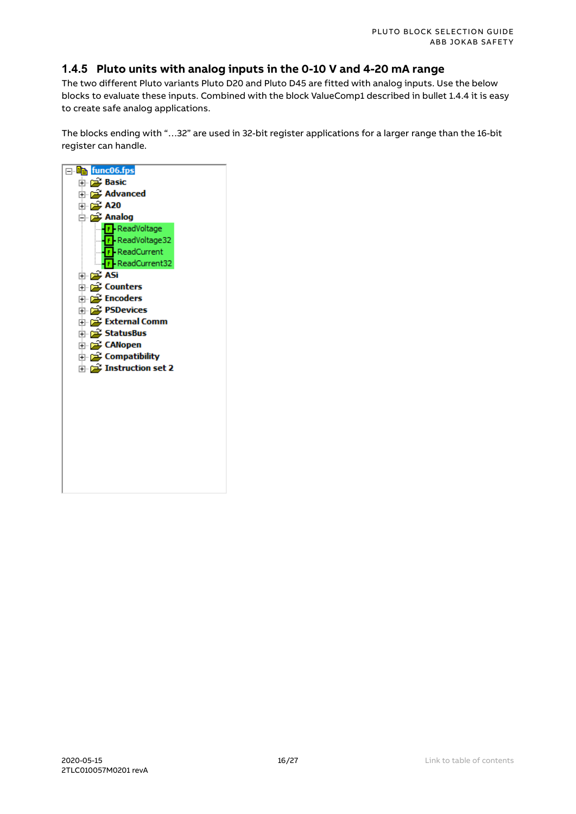#### <span id="page-15-0"></span>**1.4.5 Pluto units with analog inputs in the 0-10 V and 4-20 mA range**

The two different Pluto variants Pluto D20 and Pluto D45 are fitted with analog inputs. Use the below blocks to evaluate these inputs. Combined with the block ValueComp1 described in bulle[t 1.4.4](#page-14-0) it is easy to create safe analog applications.

The blocks ending with "…32" are used in 32-bit register applications for a larger range than the 16-bit register can handle.

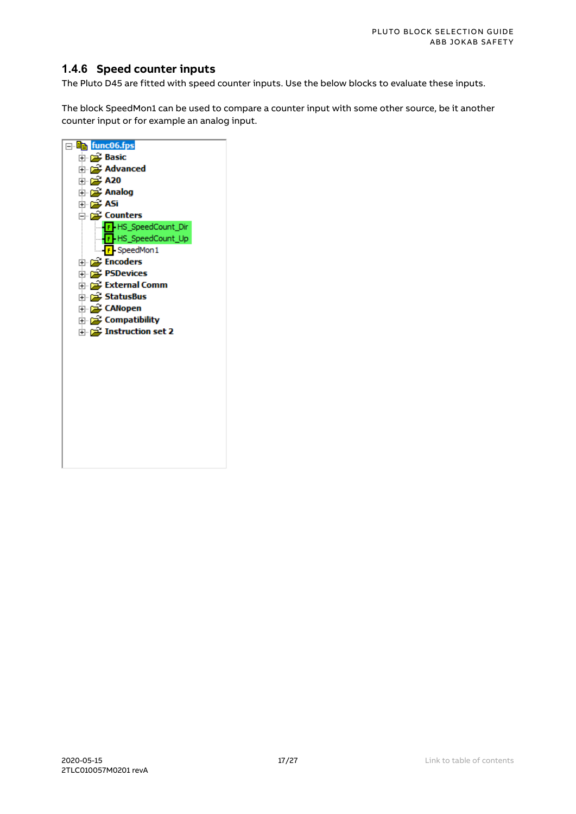#### <span id="page-16-0"></span>**1.4.6 Speed counter inputs**

The Pluto D45 are fitted with speed counter inputs. Use the below blocks to evaluate these inputs.

The block SpeedMon1 can be used to compare a counter input with some other source, be it another counter input or for example an analog input.

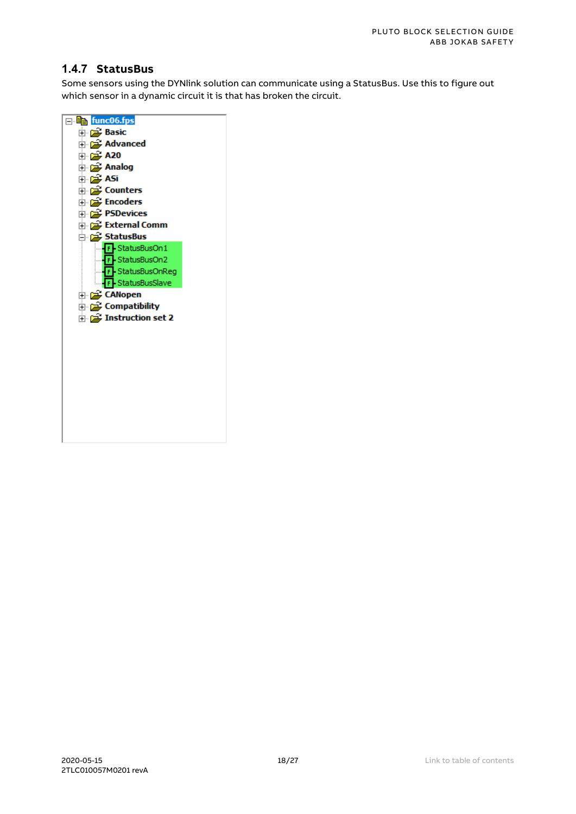#### <span id="page-17-0"></span>**1.4.7 StatusBus**

Some sensors using the DYNlink solution can communicate using a StatusBus. Use this to figure out which sensor in a dynamic circuit it is that has broken the circuit.

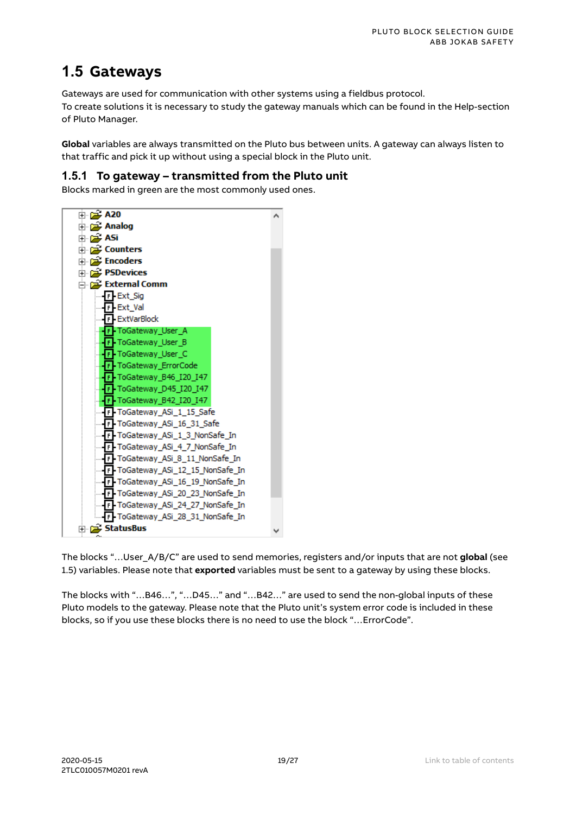### <span id="page-18-0"></span>**1.5 Gateways**

Gateways are used for communication with other systems using a fieldbus protocol.

To create solutions it is necessary to study the gateway manuals which can be found in the Help-section of Pluto Manager.

**Global** variables are always transmitted on the Pluto bus between units. A gateway can always listen to that traffic and pick it up without using a special block in the Pluto unit.

#### <span id="page-18-1"></span>**1.5.1 To gateway – transmitted from the Pluto unit**

Blocks marked in green are the most commonly used ones.



The blocks "…User\_A/B/C" are used to send memories, registers and/or inputs that are not **global** (see [1.5\)](#page-18-0) variables. Please note that **exported** variables must be sent to a gateway by using these blocks.

The blocks with "…B46…", "…D45…" and "…B42…" are used to send the non-global inputs of these Pluto models to the gateway. Please note that the Pluto unit's system error code is included in these blocks, so if you use these blocks there is no need to use the block "…ErrorCode".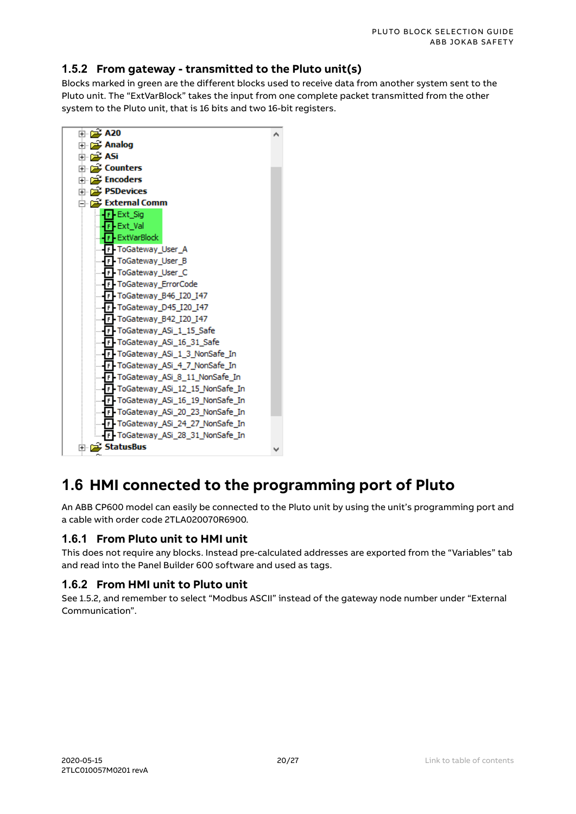#### <span id="page-19-0"></span>**1.5.2 From gateway - transmitted to the Pluto unit(s)**

Blocks marked in green are the different blocks used to receive data from another system sent to the Pluto unit. The "ExtVarBlock" takes the input from one complete packet transmitted from the other system to the Pluto unit, that is 16 bits and two 16-bit registers.



### <span id="page-19-1"></span>**1.6 HMI connected to the programming port of Pluto**

An ABB CP600 model can easily be connected to the Pluto unit by using the unit's programming port and a cable with order code 2TLA020070R6900.

#### <span id="page-19-2"></span>**1.6.1 From Pluto unit to HMI unit**

This does not require any blocks. Instead pre-calculated addresses are exported from the "Variables" tab and read into the Panel Builder 600 software and used as tags.

#### <span id="page-19-3"></span>**1.6.2 From HMI unit to Pluto unit**

Se[e 1.5.2,](#page-19-0) and remember to select "Modbus ASCII" instead of the gateway node number under "External Communication".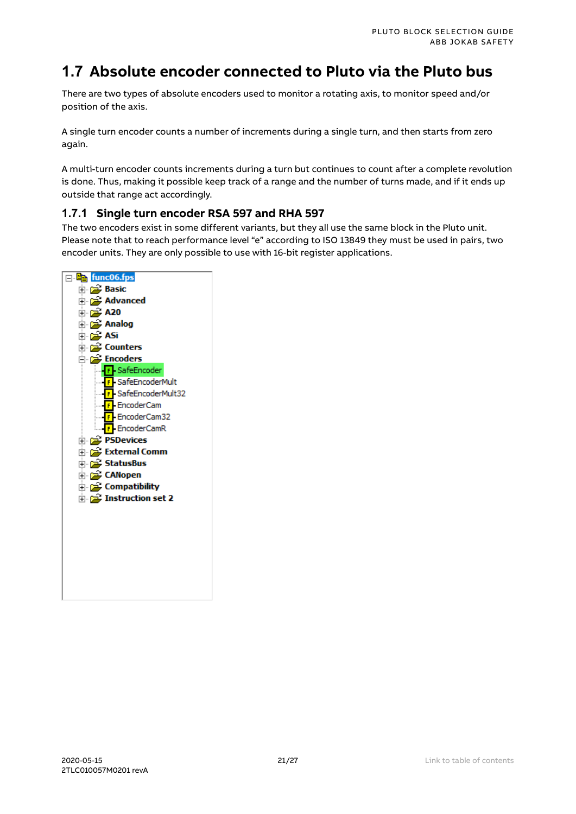### <span id="page-20-0"></span>**1.7 Absolute encoder connected to Pluto via the Pluto bus**

There are two types of absolute encoders used to monitor a rotating axis, to monitor speed and/or position of the axis.

A single turn encoder counts a number of increments during a single turn, and then starts from zero again.

A multi-turn encoder counts increments during a turn but continues to count after a complete revolution is done. Thus, making it possible keep track of a range and the number of turns made, and if it ends up outside that range act accordingly.

#### <span id="page-20-1"></span>**1.7.1 Single turn encoder RSA 597 and RHA 597**

The two encoders exist in some different variants, but they all use the same block in the Pluto unit. Please note that to reach performance level "e" according to ISO 13849 they must be used in pairs, two encoder units. They are only possible to use with 16-bit register applications.

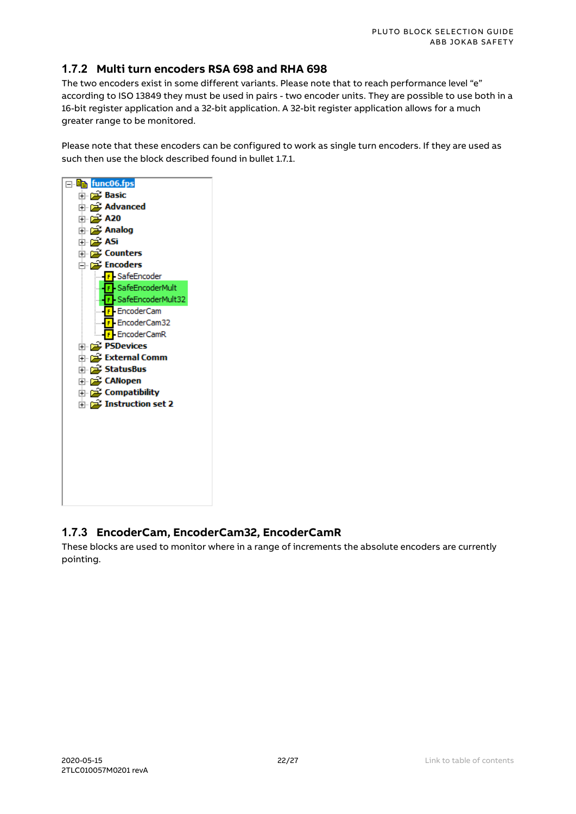#### <span id="page-21-0"></span>**1.7.2 Multi turn encoders RSA 698 and RHA 698**

The two encoders exist in some different variants. Please note that to reach performance level "e" according to ISO 13849 they must be used in pairs - two encoder units. They are possible to use both in a 16-bit register application and a 32-bit application. A 32-bit register application allows for a much greater range to be monitored.

Please note that these encoders can be configured to work as single turn encoders. If they are used as such then use the block described found in bulle[t 1.7.1.](#page-20-1)



#### <span id="page-21-1"></span>**1.7.3 EncoderCam, EncoderCam32, EncoderCamR**

These blocks are used to monitor where in a range of increments the absolute encoders are currently pointing.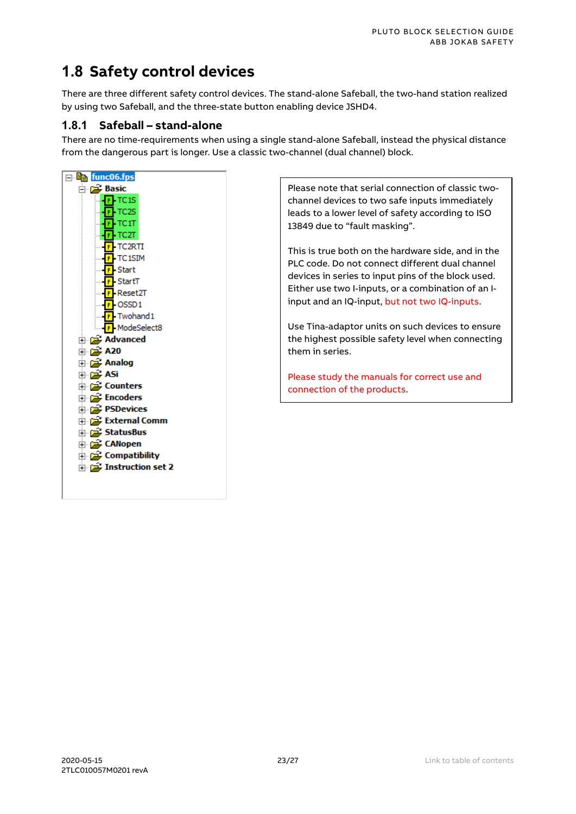### <span id="page-22-0"></span>**1.8 Safety control devices**

There are three different safety control devices. The stand-alone Safeball, the two-hand station realized by using two Safeball, and the three-state button enabling device JSHD4.

#### <span id="page-22-1"></span>**1.8.1 Safeball – stand-alone**

There are no time-requirements when using a single stand-alone Safeball, instead the physical distance from the dangerous part is longer. Use a classic two-channel (dual channel) block.



Please note that serial connection of classic twochannel devices to two safe inputs immediately leads to a lower level of safety according to ISO 13849 due to "fault masking".

This is true both on the hardware side, and in the PLC code. Do not connect different dual channel devices in series to input pins of the block used. Either use two I-inputs, or a combination of an Iinput and an IQ-input, but not two IQ-inputs.

Use Tina-adaptor units on such devices to ensure the highest possible safety level when connecting them in series.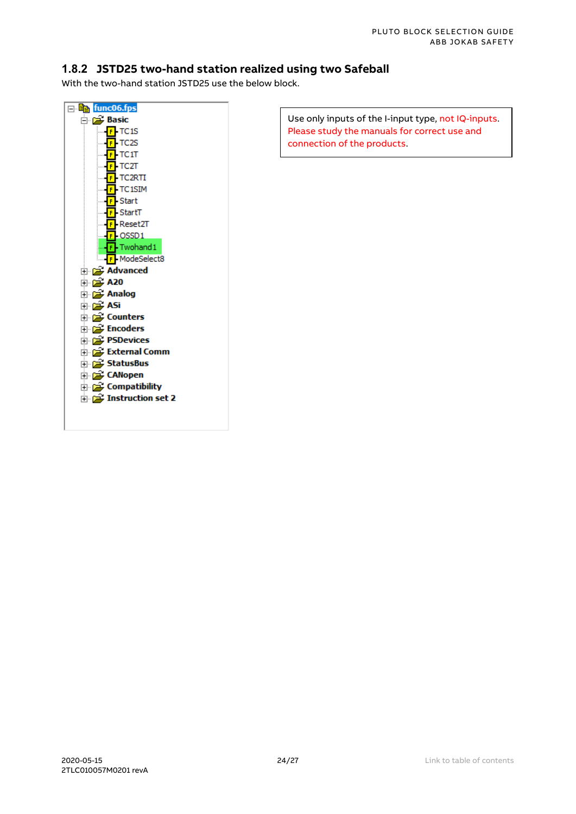#### <span id="page-23-0"></span>**1.8.2 JSTD25 two-hand station realized using two Safeball**

With the two-hand station JSTD25 use the below block.



Use only inputs of the I-input type, not IQ-inputs. Please study the manuals for correct use and connection of the products.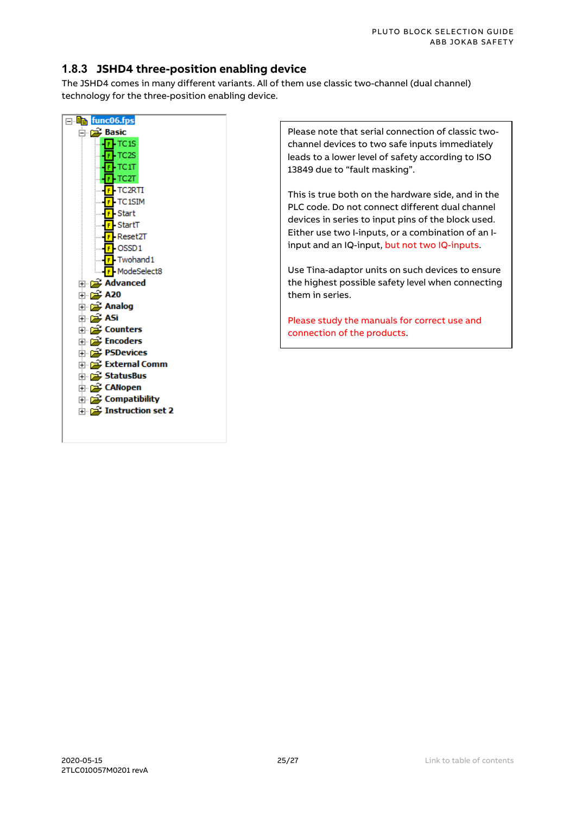#### <span id="page-24-0"></span>**1.8.3 JSHD4 three-position enabling device**

The JSHD4 comes in many different variants. All of them use classic two-channel (dual channel) technology for the three-position enabling device.



Please note that serial connection of classic twochannel devices to two safe inputs immediately leads to a lower level of safety according to ISO 13849 due to "fault masking".

This is true both on the hardware side, and in the PLC code. Do not connect different dual channel devices in series to input pins of the block used. Either use two I-inputs, or a combination of an Iinput and an IQ-input, but not two IQ-inputs.

Use Tina-adaptor units on such devices to ensure the highest possible safety level when connecting them in series.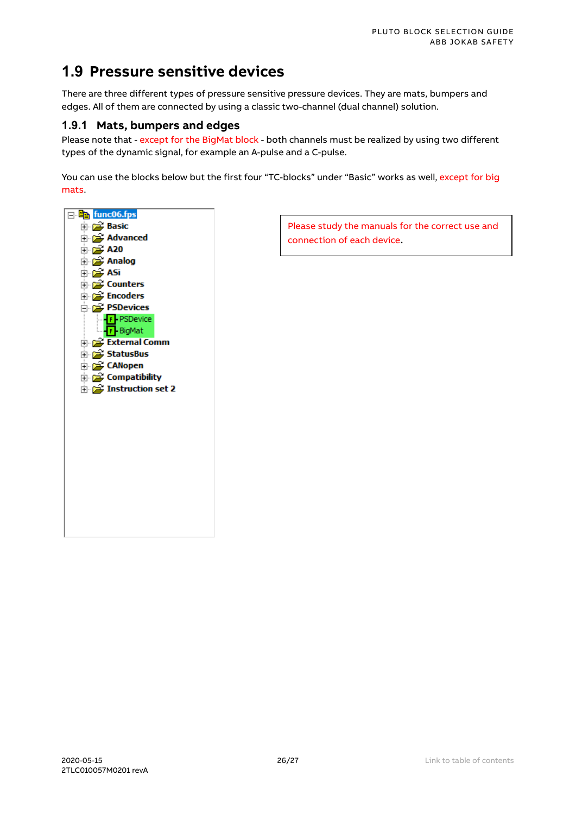### <span id="page-25-0"></span>**1.9 Pressure sensitive devices**

There are three different types of pressure sensitive pressure devices. They are mats, bumpers and edges. All of them are connected by using a classic two-channel (dual channel) solution.

#### <span id="page-25-1"></span>**1.9.1 Mats, bumpers and edges**

Please note that - except for the BigMat block - both channels must be realized by using two different types of the dynamic signal, for example an A-pulse and a C-pulse.

You can use the blocks below but the first four "TC-blocks" under "Basic" works as well, except for big mats.



Please study the manuals for the correct use and connection of each device.